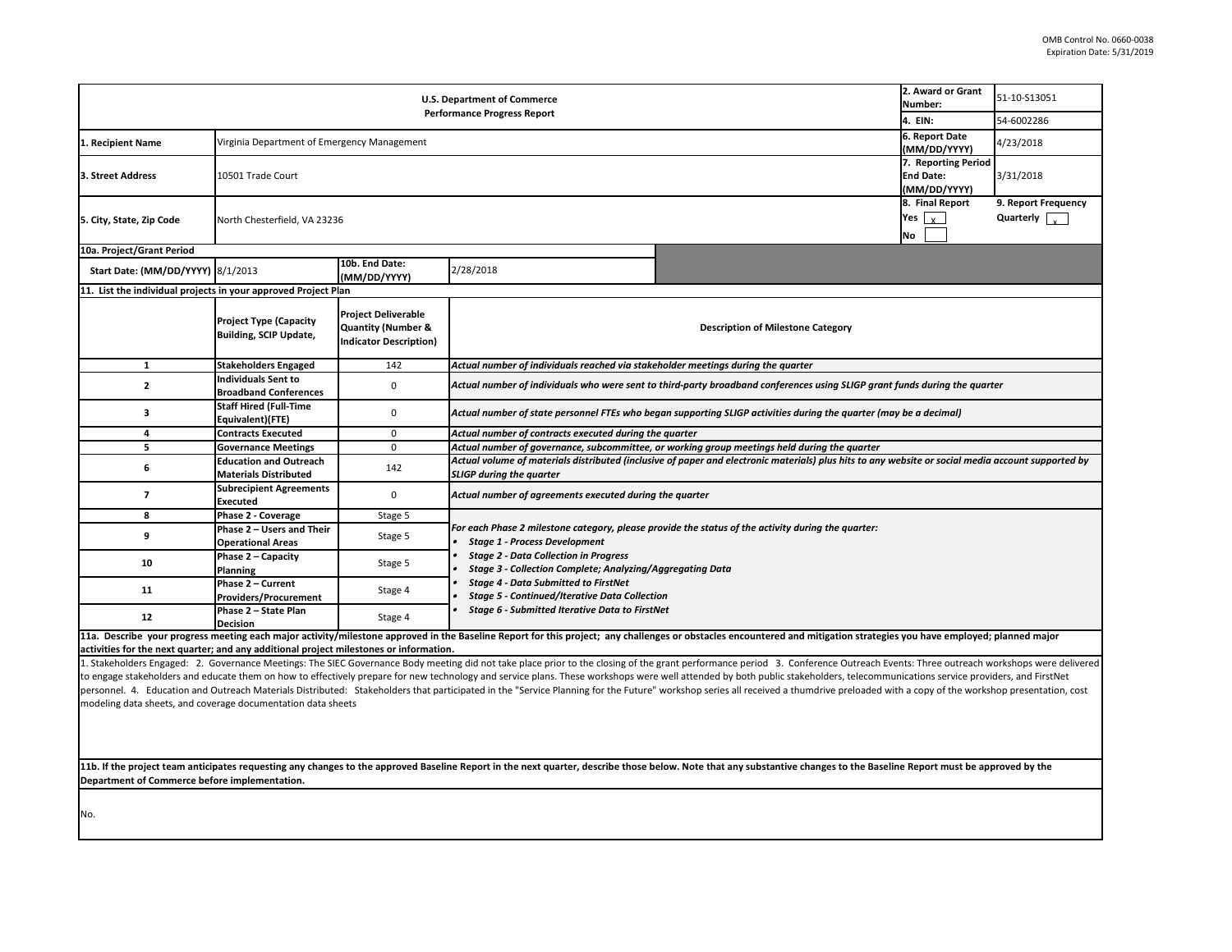|                                                                                                                                     | Number:   |                  | 2. Award or Grant   | 51-10-S13051                                                       |
|-------------------------------------------------------------------------------------------------------------------------------------|-----------|------------------|---------------------|--------------------------------------------------------------------|
|                                                                                                                                     | 4. EIN:   |                  |                     | 54-6002286                                                         |
|                                                                                                                                     |           |                  | 6. Report Date      |                                                                    |
|                                                                                                                                     |           |                  | (MM/DD/YYYY)        | 4/23/2018                                                          |
|                                                                                                                                     |           | <b>End Date:</b> | 7. Reporting Period | 3/31/2018                                                          |
|                                                                                                                                     |           |                  | (MM/DD/YYYY)        |                                                                    |
|                                                                                                                                     |           |                  | 8. Final Report     | 9. Report Frequency                                                |
|                                                                                                                                     | Yes       | $\mathbf{x}$     |                     | Quarterly                                                          |
|                                                                                                                                     | <b>No</b> |                  |                     |                                                                    |
|                                                                                                                                     |           |                  |                     |                                                                    |
|                                                                                                                                     |           |                  |                     |                                                                    |
|                                                                                                                                     |           |                  |                     |                                                                    |
|                                                                                                                                     |           |                  |                     |                                                                    |
| ne Category                                                                                                                         |           |                  |                     |                                                                    |
|                                                                                                                                     |           |                  |                     |                                                                    |
|                                                                                                                                     |           |                  |                     |                                                                    |
| rter                                                                                                                                |           |                  |                     |                                                                    |
| nces using SLIGP grant funds during the quarter                                                                                     |           |                  |                     |                                                                    |
| luring the quarter (may be a decimal)                                                                                               |           |                  |                     |                                                                    |
|                                                                                                                                     |           |                  |                     |                                                                    |
| during the quarter                                                                                                                  |           |                  |                     |                                                                    |
| ials) plus hits to any website or social media account supported by                                                                 |           |                  |                     |                                                                    |
|                                                                                                                                     |           |                  |                     |                                                                    |
| luring the quarter:                                                                                                                 |           |                  |                     |                                                                    |
|                                                                                                                                     |           |                  |                     |                                                                    |
|                                                                                                                                     |           |                  |                     |                                                                    |
|                                                                                                                                     |           |                  |                     |                                                                    |
|                                                                                                                                     |           |                  |                     |                                                                    |
| d mitigation strategies you have employed; planned major                                                                            |           |                  |                     |                                                                    |
| akeholders, telecommunications service providers, and FirstNet<br>numdrive preloaded with a copy of the workshop presentation, cost |           |                  |                     | onference Outreach Events: Three outreach workshops were delivered |
|                                                                                                                                     |           |                  |                     |                                                                    |
| changes to the Baseline Report must be approved by the                                                                              |           |                  |                     |                                                                    |
|                                                                                                                                     |           |                  |                     |                                                                    |
|                                                                                                                                     |           |                  |                     |                                                                    |

11b. If the project team anticipates requesting any changes to the approved Baseline Report in the next quarter, describe those below. Note that any substantive or **Department of Commerce before implementation.** 

1. Stakeholders Engaged: 2. Governance Meetings: The SIEC Governance Body meeting did not take place prior to the closing of the grant performance period 3. Co to engage stakeholders and educate them on how to effectively prepare for new technology and service plans. These workshops were well attended by both public stal personnel. 4. Education and Outreach Materials Distributed: Stakeholders that participated in the "Service Planning for the Future" workshop series all received a th modeling data sheets, and coverage documentation data sheets

| <b>U.S. Department of Commerce</b>                                                     |                                                                              |                                                                                   |                                                                                                                                                                                                                         |                                                                                                                                                                                                                        | 2. Award or Grant<br>Number:                                          | 51-10-S13051                                 |  |  |
|----------------------------------------------------------------------------------------|------------------------------------------------------------------------------|-----------------------------------------------------------------------------------|-------------------------------------------------------------------------------------------------------------------------------------------------------------------------------------------------------------------------|------------------------------------------------------------------------------------------------------------------------------------------------------------------------------------------------------------------------|-----------------------------------------------------------------------|----------------------------------------------|--|--|
|                                                                                        |                                                                              |                                                                                   | <b>Performance Progress Report</b>                                                                                                                                                                                      |                                                                                                                                                                                                                        | 4. EIN:                                                               | 54-6002286                                   |  |  |
| Recipient Name                                                                         | Virginia Department of Emergency Management                                  |                                                                                   |                                                                                                                                                                                                                         |                                                                                                                                                                                                                        | 6. Report Date<br>(MM/DD/YYYY)                                        | 4/23/2018                                    |  |  |
| 3. Street Address                                                                      | 7. Reporting Period<br>10501 Trade Court<br><b>End Date:</b><br>(MM/DD/YYYY) |                                                                                   |                                                                                                                                                                                                                         |                                                                                                                                                                                                                        |                                                                       | 3/31/2018                                    |  |  |
| 5. City, State, Zip Code                                                               | North Chesterfield, VA 23236                                                 |                                                                                   |                                                                                                                                                                                                                         |                                                                                                                                                                                                                        | 8. Final Report<br>Yes $\left\lfloor \frac{1}{x} \right\rfloor$<br>No | 9. Report Frequency<br>Quarterly $\sqrt{\ }$ |  |  |
| 10a. Project/Grant Period                                                              |                                                                              |                                                                                   |                                                                                                                                                                                                                         |                                                                                                                                                                                                                        |                                                                       |                                              |  |  |
| Start Date: (MM/DD/YYYY) 8/1/2013                                                      |                                                                              | 10b. End Date:<br>(MM/DD/YYYY)                                                    | 2/28/2018                                                                                                                                                                                                               |                                                                                                                                                                                                                        |                                                                       |                                              |  |  |
| 11. List the individual projects in your approved Project Plan                         |                                                                              |                                                                                   |                                                                                                                                                                                                                         |                                                                                                                                                                                                                        |                                                                       |                                              |  |  |
|                                                                                        | <b>Project Type (Capacity</b><br><b>Building, SCIP Update,</b>               | <b>Project Deliverable</b><br>Quantity (Number &<br><b>Indicator Description)</b> |                                                                                                                                                                                                                         | <b>Description of Milestone Category</b>                                                                                                                                                                               |                                                                       |                                              |  |  |
|                                                                                        | <b>Stakeholders Engaged</b>                                                  | 142                                                                               | Actual number of individuals reached via stakeholder meetings during the quarter                                                                                                                                        |                                                                                                                                                                                                                        |                                                                       |                                              |  |  |
| $\mathbf{2}$                                                                           | <b>Individuals Sent to</b><br><b>Broadband Conferences</b>                   | 0                                                                                 | Actual number of individuals who were sent to third-party broadband conferences using SLIGP grant funds during the quarter                                                                                              |                                                                                                                                                                                                                        |                                                                       |                                              |  |  |
| 3                                                                                      | <b>Staff Hired (Full-Time</b><br>Equivalent)(FTE)                            | 0                                                                                 | Actual number of state personnel FTEs who began supporting SLIGP activities during the quarter (may be a decimal)                                                                                                       |                                                                                                                                                                                                                        |                                                                       |                                              |  |  |
|                                                                                        | <b>Contracts Executed</b>                                                    | 0                                                                                 | Actual number of contracts executed during the quarter                                                                                                                                                                  |                                                                                                                                                                                                                        |                                                                       |                                              |  |  |
|                                                                                        | <b>Governance Meetings</b>                                                   | $\mathbf{0}$                                                                      | Actual number of governance, subcommittee, or working group meetings held during the quarter                                                                                                                            |                                                                                                                                                                                                                        |                                                                       |                                              |  |  |
| 6                                                                                      | <b>Education and Outreach</b><br><b>Materials Distributed</b>                | 142                                                                               | Actual volume of materials distributed (inclusive of paper and electronic materials) plus hits to any website or social media account supported by<br><b>SLIGP during the quarter</b>                                   |                                                                                                                                                                                                                        |                                                                       |                                              |  |  |
|                                                                                        | <b>Subrecipient Agreements</b><br><b>Executed</b>                            | 0                                                                                 | Actual number of agreements executed during the quarter                                                                                                                                                                 |                                                                                                                                                                                                                        |                                                                       |                                              |  |  |
| 8                                                                                      | Phase 2 - Coverage                                                           | Stage 5                                                                           |                                                                                                                                                                                                                         |                                                                                                                                                                                                                        |                                                                       |                                              |  |  |
| 9                                                                                      | Phase 2 – Users and Their<br><b>Operational Areas</b>                        | Stage 5                                                                           | <b>Stage 1 - Process Development</b>                                                                                                                                                                                    | For each Phase 2 milestone category, please provide the status of the activity during the quarter:                                                                                                                     |                                                                       |                                              |  |  |
| 10                                                                                     | Phase $2 -$ Capacity<br><b>Planning</b>                                      | Stage 5                                                                           | <b>Stage 2 - Data Collection in Progress</b><br><b>Stage 3 - Collection Complete; Analyzing/Aggregating Data</b><br><b>Stage 4 - Data Submitted to FirstNet</b><br><b>Stage 5 - Continued/Iterative Data Collection</b> |                                                                                                                                                                                                                        |                                                                       |                                              |  |  |
| 11                                                                                     | Phase 2 - Current<br><b>Providers/Procurement</b>                            | Stage 4                                                                           |                                                                                                                                                                                                                         |                                                                                                                                                                                                                        |                                                                       |                                              |  |  |
| 12                                                                                     | Phase 2 - State Plan<br><b>Decision</b>                                      | Stage 4                                                                           | <b>Stage 6 - Submitted Iterative Data to FirstNet</b>                                                                                                                                                                   |                                                                                                                                                                                                                        |                                                                       |                                              |  |  |
| activities for the next quarter; and any additional project milestones or information. |                                                                              |                                                                                   |                                                                                                                                                                                                                         | 11a. Describe your progress meeting each major activity/milestone approved in the Baseline Report for this project; any challenges or obstacles encountered and mitigation strategies you have employed; planned major |                                                                       |                                              |  |  |

No.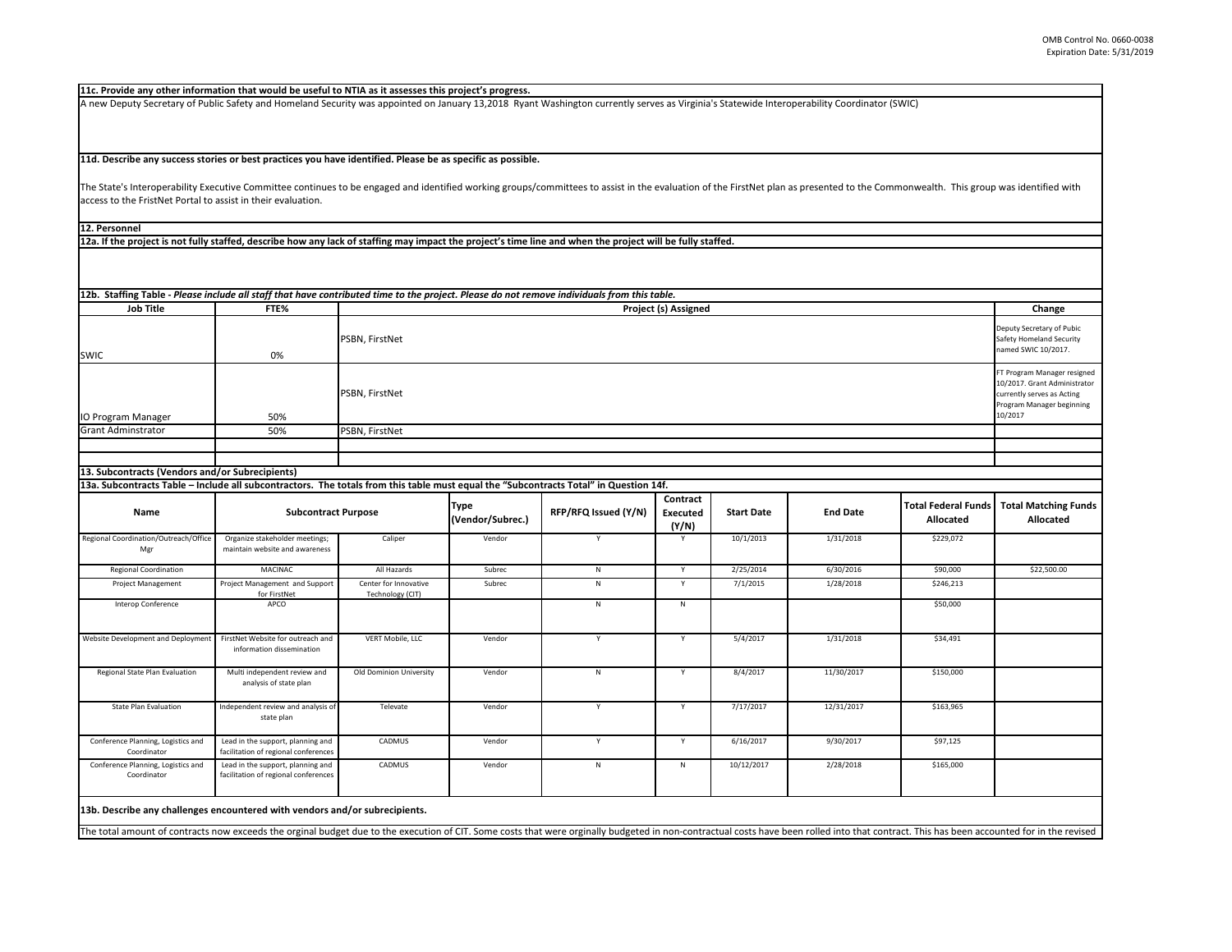| erability Coordinator (SWIC)                                    |                            |                                                 |
|-----------------------------------------------------------------|----------------------------|-------------------------------------------------|
|                                                                 |                            |                                                 |
|                                                                 |                            |                                                 |
|                                                                 |                            |                                                 |
|                                                                 |                            |                                                 |
|                                                                 |                            |                                                 |
|                                                                 |                            |                                                 |
| s presented to the Commonwealth. This group was identified with |                            |                                                 |
|                                                                 |                            |                                                 |
|                                                                 |                            |                                                 |
|                                                                 |                            |                                                 |
|                                                                 |                            |                                                 |
|                                                                 |                            |                                                 |
|                                                                 |                            |                                                 |
|                                                                 |                            |                                                 |
|                                                                 |                            |                                                 |
|                                                                 |                            | Change                                          |
|                                                                 |                            |                                                 |
|                                                                 |                            | Deputy Secretary of Pubic                       |
|                                                                 |                            | Safety Homeland Security<br>named SWIC 10/2017. |
|                                                                 |                            |                                                 |
|                                                                 |                            | FT Program Manager resigned                     |
|                                                                 |                            | 10/2017. Grant Administrator                    |
|                                                                 |                            | currently serves as Acting                      |
|                                                                 |                            | Program Manager beginning                       |
|                                                                 |                            | 10/2017                                         |
|                                                                 |                            |                                                 |
|                                                                 |                            |                                                 |
|                                                                 |                            |                                                 |
|                                                                 |                            |                                                 |
|                                                                 |                            |                                                 |
|                                                                 |                            |                                                 |
| <b>End Date</b>                                                 | <b>Total Federal Funds</b> | <b>Total Matching Funds</b>                     |
|                                                                 | <b>Allocated</b>           | <b>Allocated</b>                                |
| 1/31/2018                                                       | \$229,072                  |                                                 |
|                                                                 |                            |                                                 |
|                                                                 |                            |                                                 |
| 6/30/2016                                                       | \$90,000                   | \$22,500.00                                     |
| 1/28/2018                                                       | \$246,213                  |                                                 |
|                                                                 |                            |                                                 |

The State's Interoperability Executive Committee continues to be engaged and identified working groups/committees to assist in the evaluation of the FirstNet plan as access to the FristNet Portal to assist in their evaluation.

| <b>Job Title</b>                                                                                                                      | FTE%                                                                      | <b>Project (s) Assigned</b>               |                                 |                      |                                      |                   |                 |                                                |                                                                                                                                   |
|---------------------------------------------------------------------------------------------------------------------------------------|---------------------------------------------------------------------------|-------------------------------------------|---------------------------------|----------------------|--------------------------------------|-------------------|-----------------|------------------------------------------------|-----------------------------------------------------------------------------------------------------------------------------------|
| <b>SWIC</b>                                                                                                                           | 0%                                                                        | <b>PSBN, FirstNet</b>                     |                                 |                      |                                      |                   |                 |                                                | Deputy Secretary of Pubic<br><b>Safety Homeland Security</b><br>named SWIC 10/2017.                                               |
| IO Program Manager                                                                                                                    | 50%                                                                       | PSBN, FirstNet                            |                                 |                      |                                      |                   |                 |                                                | FT Program Manager resigned<br>10/2017. Grant Administrator<br>currently serves as Acting<br>Program Manager beginning<br>10/2017 |
| <b>Grant Adminstrator</b>                                                                                                             | 50%                                                                       | PSBN, FirstNet                            |                                 |                      |                                      |                   |                 |                                                |                                                                                                                                   |
|                                                                                                                                       |                                                                           |                                           |                                 |                      |                                      |                   |                 |                                                |                                                                                                                                   |
|                                                                                                                                       |                                                                           |                                           |                                 |                      |                                      |                   |                 |                                                |                                                                                                                                   |
| 13. Subcontracts (Vendors and/or Subrecipients)                                                                                       |                                                                           |                                           |                                 |                      |                                      |                   |                 |                                                |                                                                                                                                   |
| 13a. Subcontracts Table – Include all subcontractors. The totals from this table must equal the "Subcontracts Total" in Question 14f. |                                                                           |                                           |                                 |                      |                                      |                   |                 |                                                |                                                                                                                                   |
| <b>Name</b>                                                                                                                           | <b>Subcontract Purpose</b>                                                |                                           | <b>Type</b><br>(Vendor/Subrec.) | RFP/RFQ Issued (Y/N) | Contract<br><b>Executed</b><br>(Y/N) | <b>Start Date</b> | <b>End Date</b> | <b>Total Federal Funds</b><br><b>Allocated</b> | <b>Total Matching Funds</b><br><b>Allocated</b>                                                                                   |
| Regional Coordination/Outreach/Office<br>Mgr                                                                                          | Organize stakeholder meetings;<br>maintain website and awareness          | Caliper                                   | Vendor                          | Y                    | Y                                    | 10/1/2013         | 1/31/2018       | \$229,072                                      |                                                                                                                                   |
| <b>Regional Coordination</b>                                                                                                          | MACINAC                                                                   | All Hazards                               | Subrec                          | N                    | Y                                    | 2/25/2014         | 6/30/2016       | \$90,000                                       | \$22,500.00                                                                                                                       |
| Project Management                                                                                                                    | Project Management and Support<br>for FirstNet                            | Center for Innovative<br>Technology (CIT) | Subrec                          | N                    | Y                                    | 7/1/2015          | 1/28/2018       | \$246,213                                      |                                                                                                                                   |
| Interop Conference                                                                                                                    | APCO                                                                      |                                           |                                 | N                    | N                                    |                   |                 | \$50,000                                       |                                                                                                                                   |
| Website Development and Deployment FirstNet Website for outreach and                                                                  | information dissemination                                                 | VERT Mobile, LLC                          | Vendor                          | Y                    | Y                                    | 5/4/2017          | 1/31/2018       | \$34,491                                       |                                                                                                                                   |
| Regional State Plan Evaluation                                                                                                        | Multi independent review and<br>analysis of state plan                    | Old Dominion University                   | Vendor                          | N                    | Y                                    | 8/4/2017          | 11/30/2017      | \$150,000                                      |                                                                                                                                   |
| <b>State Plan Evaluation</b>                                                                                                          | Independent review and analysis of<br>state plan                          | Televate                                  | Vendor                          | v                    | Y                                    | 7/17/2017         | 12/31/2017      | \$163,965                                      |                                                                                                                                   |
| Conference Planning, Logistics and<br>Coordinator                                                                                     | Lead in the support, planning and<br>facilitation of regional conferences | CADMUS                                    | Vendor                          | Y                    | Y                                    | 6/16/2017         | 9/30/2017       | \$97,125                                       |                                                                                                                                   |
| Conference Planning, Logistics and<br>Coordinator                                                                                     | Lead in the support, planning and<br>facilitation of regional conferences | CADMUS                                    | Vendor                          | N                    | N                                    | 10/12/2017        | 2/28/2018       | \$165,000                                      |                                                                                                                                   |

The total amount of contracts now exceeds the orginal budget due to the execution of CIT. Some costs that were orginally budgeted in non-contractual costs have been rolled into that contract. This has been accounted for in

**11d. Describe any success stories or best practices you have identified. Please be as specific as possible.**

**11c. Provide any other information that would be useful to NTIA as it assesses this project's progress.** 

A new Deputy Secretary of Public Safety and Homeland Security was appointed on January 13,2018 Ryant Washington currently serves as Virginia's Statewide Interop

**12a. If the project is not fully staffed, describe how any lack of staffing may impact the project's time line and when the project will be fully staffed.**

**12. Personnel**